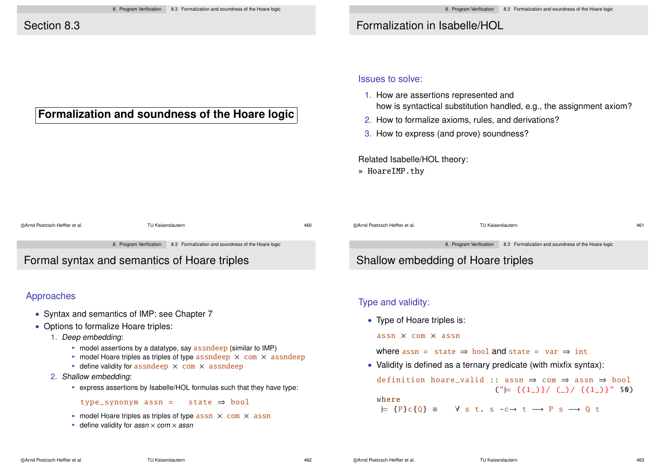## Formalization in Isabelle/HOL

### **Formalization and soundness of the Hoare logic**

#### Issues to solve:

- 1. How are assertions represented and how is syntactical substitution handled, e.g., the assignment axiom?
- 2. How to formalize axioms, rules, and derivations?
- 3. How to express (and prove) soundness?

Related Isabelle/HOL theory:

» HoareIMP.thy

©Arnd Poetzsch-Heffter et al. TU Kaiserslautern 460 ©Arnd Poetzsch-Heffter et al. TU Kaiserslautern 461 8. Program Verification 8.3 Formalization and soundness of the Hoare logic Formal syntax and semantics of Hoare triples Approaches • Syntax and semantics of IMP: see Chapter 7 • Options to formalize Hoare triples: 8. Program Verification 8.3 Formalization and soundness of the Hoare logic Shallow embedding of Hoare triples Type and validity: • Type of Hoare triples is:

- 1. Deep embedding:
	- $\triangleright$  model assertions by a datatype, say assndeep (similar to IMP)
	- $\triangleright$  model Hoare triples as triples of type assndeep  $\times$  com  $\times$  assndeep
	- $\rightarrow$  define validity for assndeep  $\times$  com  $\times$  assndeep
- 2. Shallow embedding:
	- $\triangleright$  express assertions by Isabelle/HOL formulas such that they have type:

type\_synonym assn = state  $\Rightarrow$  bool

- $\triangleright$  model Hoare triples as triples of type assn  $\times$  com  $\times$  assn
- $\blacktriangleright$  define validity for assn  $\times$  com  $\times$  assn

assn × com × assn

where assn = state  $\Rightarrow$  bool and state = var  $\Rightarrow$  int

• Validity is defined as a ternary predicate (with mixfix syntax):

definition hoare\_valid :: assn ⇒ com ⇒ assn ⇒ bool  $(\lvert \vdash \{(1_{{}_{\sim}})\}/({_{\sim}})/\{(1_{{}_{\sim}})\}\rvert$  50) where

 $=$  {P}c{0} =  $\forall$  s t. s -c → t  $\rightarrow$  P s  $\rightarrow$  0 t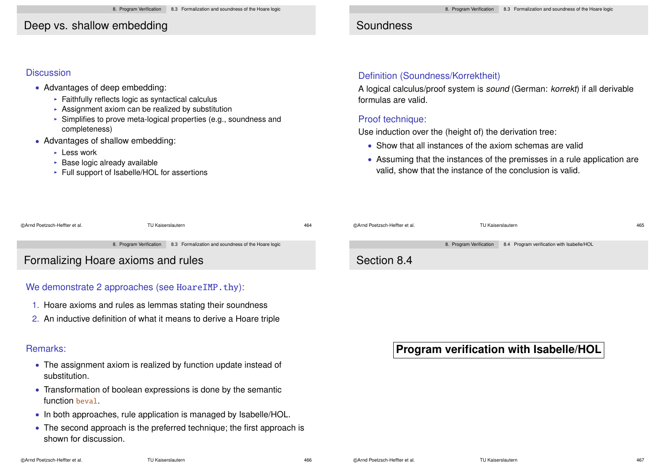### Deep vs. shallow embedding

### **Discussion**

- Advantages of deep embedding:
	- $\triangleright$  Faithfully reflects logic as syntactical calculus
	- Assignment axiom can be realized by substitution
	- $\triangleright$  Simplifies to prove meta-logical properties (e.g., soundness and completeness)
- Advantages of shallow embedding:
	- $\blacktriangleright$  Less work
	- $\triangleright$  Base logic already available
	- $\triangleright$  Full support of Isabelle/HOL for assertions

# Soundness

### Definition (Soundness/Korrektheit)

A logical calculus/proof system is sound (German: korrekt) if all derivable formulas are valid.

#### Proof technique:

Use induction over the (height of) the derivation tree:

- Show that all instances of the axiom schemas are valid
- Assuming that the instances of the premisses in a rule application are valid, show that the instance of the conclusion is valid.

| ©Arnd Poetzsch-Heffter et al.      | TU Kaiserslautern |                                                                            | 464 | ©Arnd Poetzsch-Heffter et al. | TU Kaiserslautern |                                                          |
|------------------------------------|-------------------|----------------------------------------------------------------------------|-----|-------------------------------|-------------------|----------------------------------------------------------|
|                                    |                   | 8. Program Verification 8.3 Formalization and soundness of the Hoare logic |     |                               |                   | 8. Program Verification 8.4 Program verification with Is |
| Formalizing Hoare axioms and rules |                   |                                                                            |     | Section 8.4                   |                   |                                                          |

### We demonstrate 2 approaches (see HoareIMP.thy):

- 1. Hoare axioms and rules as lemmas stating their soundness
- 2. An inductive definition of what it means to derive a Hoare triple

### Remarks:

- The assignment axiom is realized by function update instead of substitution.
- Transformation of boolean expressions is done by the semantic function beval.
- In both approaches, rule application is managed by Isabelle/HOL.
- The second approach is the preferred technique; the first approach is shown for discussion.

| ©Arnd Poetzsch-Heffter et al. | TU Kaiserslautern       | 465                                        |  |
|-------------------------------|-------------------------|--------------------------------------------|--|
|                               | 8. Program Verification | 8.4 Program verification with Isabelle/HOL |  |
| Section 8.4                   |                         |                                            |  |
|                               |                         |                                            |  |

# **Program verification with Isabelle/HOL**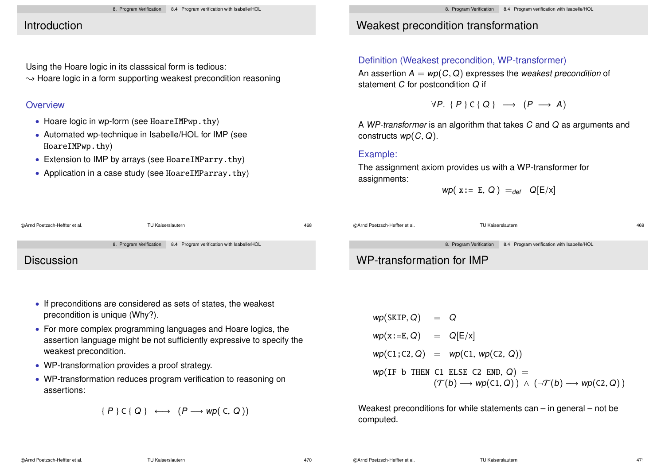## Introduction

Using the Hoare logic in its classsical form is tedious:  $\rightarrow$  Hoare logic in a form supporting weakest precondition reasoning

#### **Overview**

- Hoare logic in wp-form (see HoareIMPwp.thy)
- Automated wp-technique in Isabelle/HOL for IMP (see HoareIMPwp.thy)
- Extension to IMP by arrays (see HoareIMParry.thy)
- Application in a case study (see HoareIMParray.thy)

# Weakest precondition transformation

#### Definition (Weakest precondition, WP-transformer)

An assertion  $A = wp(C, Q)$  expresses the weakest precondition of statement C for postcondition Q if

 $\forall P. \{P\} \subseteq \{Q\} \longrightarrow (P \longrightarrow A)$ 

A WP-transformer is an algorithm that takes C and Q as arguments and constructs  $wp(C, Q)$ .

#### Example:

The assignment axiom provides us with a WP-transformer for assignments:

$$
wp(x := E, Q) =_{def} Q[E/x]
$$

| @Arnd Poetzsch-Heffter et al. | TU Kaiserslautern                                                  | 468 | @Arnd Poetzsch-Heffter et al. | TU Kaiserslautern                                                  | 469 |
|-------------------------------|--------------------------------------------------------------------|-----|-------------------------------|--------------------------------------------------------------------|-----|
|                               | 8. Program Verification 8.4 Program verification with Isabelle/HOL |     |                               | 8. Program Verification 8.4 Program verification with Isabelle/HOL |     |
| <b>Discussion</b>             |                                                                    |     | WP-transformation for IMP     |                                                                    |     |

- If preconditions are considered as sets of states, the weakest precondition is unique (Why?).
- For more complex programming languages and Hoare logics, the assertion language might be not sufficiently expressive to specify the weakest precondition.
- WP-transformation provides a proof strategy.
- WP-transformation reduces program verification to reasoning on assertions:

$$
\{P\} C \{Q\} \longleftrightarrow (P \longrightarrow wp(C, Q))
$$

 $wp(SKIP, Q) = Q$  $wp(x:=E, Q)$  =  $Q[E/x]$  $wp(C1; C2, Q) = wp(C1, wp(C2, Q))$  $wp(IF b THEN C1 ELSE C2 END, Q) =$  $(\mathcal{T}(b) \longrightarrow wp(C1, Q)) \land (\neg \mathcal{T}(b) \longrightarrow wp(C2, Q))$ 

Weakest preconditions for while statements can – in general – not be computed.